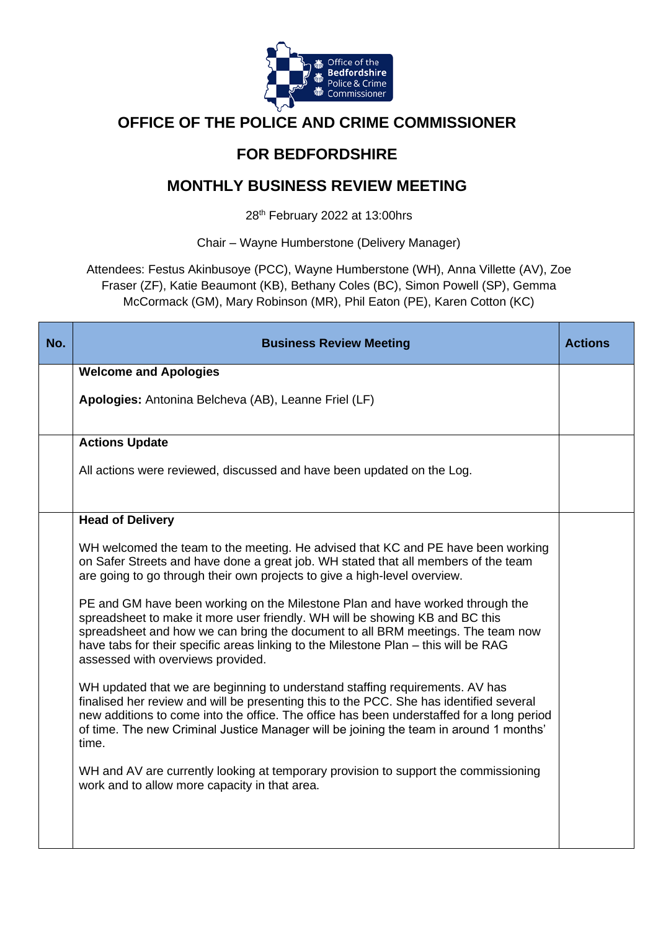

# **OFFICE OF THE POLICE AND CRIME COMMISSIONER**

# **FOR BEDFORDSHIRE**

# **MONTHLY BUSINESS REVIEW MEETING**

28th February 2022 at 13:00hrs

Chair – Wayne Humberstone (Delivery Manager)

Attendees: Festus Akinbusoye (PCC), Wayne Humberstone (WH), Anna Villette (AV), Zoe Fraser (ZF), Katie Beaumont (KB), Bethany Coles (BC), Simon Powell (SP), Gemma McCormack (GM), Mary Robinson (MR), Phil Eaton (PE), Karen Cotton (KC)

| No. | <b>Business Review Meeting</b>                                                                                                                                                                                                                                                                                                                                               | <b>Actions</b> |
|-----|------------------------------------------------------------------------------------------------------------------------------------------------------------------------------------------------------------------------------------------------------------------------------------------------------------------------------------------------------------------------------|----------------|
|     | <b>Welcome and Apologies</b>                                                                                                                                                                                                                                                                                                                                                 |                |
|     | Apologies: Antonina Belcheva (AB), Leanne Friel (LF)                                                                                                                                                                                                                                                                                                                         |                |
|     | <b>Actions Update</b>                                                                                                                                                                                                                                                                                                                                                        |                |
|     | All actions were reviewed, discussed and have been updated on the Log.                                                                                                                                                                                                                                                                                                       |                |
|     | <b>Head of Delivery</b>                                                                                                                                                                                                                                                                                                                                                      |                |
|     | WH welcomed the team to the meeting. He advised that KC and PE have been working<br>on Safer Streets and have done a great job. WH stated that all members of the team<br>are going to go through their own projects to give a high-level overview.                                                                                                                          |                |
|     | PE and GM have been working on the Milestone Plan and have worked through the<br>spreadsheet to make it more user friendly. WH will be showing KB and BC this<br>spreadsheet and how we can bring the document to all BRM meetings. The team now<br>have tabs for their specific areas linking to the Milestone Plan - this will be RAG<br>assessed with overviews provided. |                |
|     | WH updated that we are beginning to understand staffing requirements. AV has<br>finalised her review and will be presenting this to the PCC. She has identified several<br>new additions to come into the office. The office has been understaffed for a long period<br>of time. The new Criminal Justice Manager will be joining the team in around 1 months'<br>time.      |                |
|     | WH and AV are currently looking at temporary provision to support the commissioning<br>work and to allow more capacity in that area.                                                                                                                                                                                                                                         |                |
|     |                                                                                                                                                                                                                                                                                                                                                                              |                |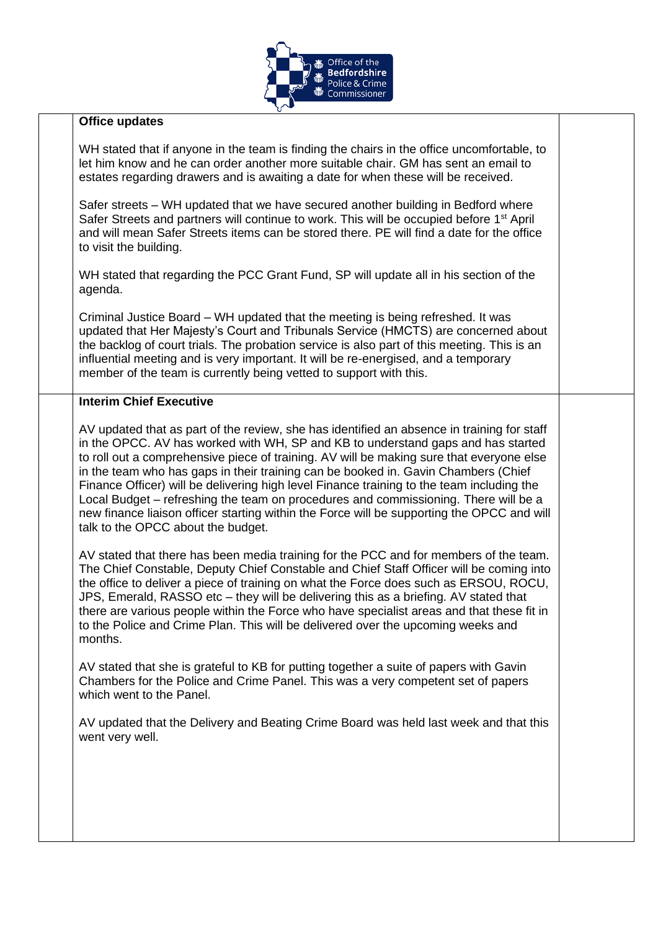

#### **Office updates**

WH stated that if anyone in the team is finding the chairs in the office uncomfortable, to let him know and he can order another more suitable chair. GM has sent an email to estates regarding drawers and is awaiting a date for when these will be received.

Safer streets – WH updated that we have secured another building in Bedford where Safer Streets and partners will continue to work. This will be occupied before 1<sup>st</sup> April and will mean Safer Streets items can be stored there. PE will find a date for the office to visit the building.

WH stated that regarding the PCC Grant Fund, SP will update all in his section of the agenda.

Criminal Justice Board – WH updated that the meeting is being refreshed. It was updated that Her Majesty's Court and Tribunals Service (HMCTS) are concerned about the backlog of court trials. The probation service is also part of this meeting. This is an influential meeting and is very important. It will be re-energised, and a temporary member of the team is currently being vetted to support with this.

#### **Interim Chief Executive**

AV updated that as part of the review, she has identified an absence in training for staff in the OPCC. AV has worked with WH, SP and KB to understand gaps and has started to roll out a comprehensive piece of training. AV will be making sure that everyone else in the team who has gaps in their training can be booked in. Gavin Chambers (Chief Finance Officer) will be delivering high level Finance training to the team including the Local Budget – refreshing the team on procedures and commissioning. There will be a new finance liaison officer starting within the Force will be supporting the OPCC and will talk to the OPCC about the budget.

AV stated that there has been media training for the PCC and for members of the team. The Chief Constable, Deputy Chief Constable and Chief Staff Officer will be coming into the office to deliver a piece of training on what the Force does such as ERSOU, ROCU, JPS, Emerald, RASSO etc – they will be delivering this as a briefing. AV stated that there are various people within the Force who have specialist areas and that these fit in to the Police and Crime Plan. This will be delivered over the upcoming weeks and months.

AV stated that she is grateful to KB for putting together a suite of papers with Gavin Chambers for the Police and Crime Panel. This was a very competent set of papers which went to the Panel.

AV updated that the Delivery and Beating Crime Board was held last week and that this went very well.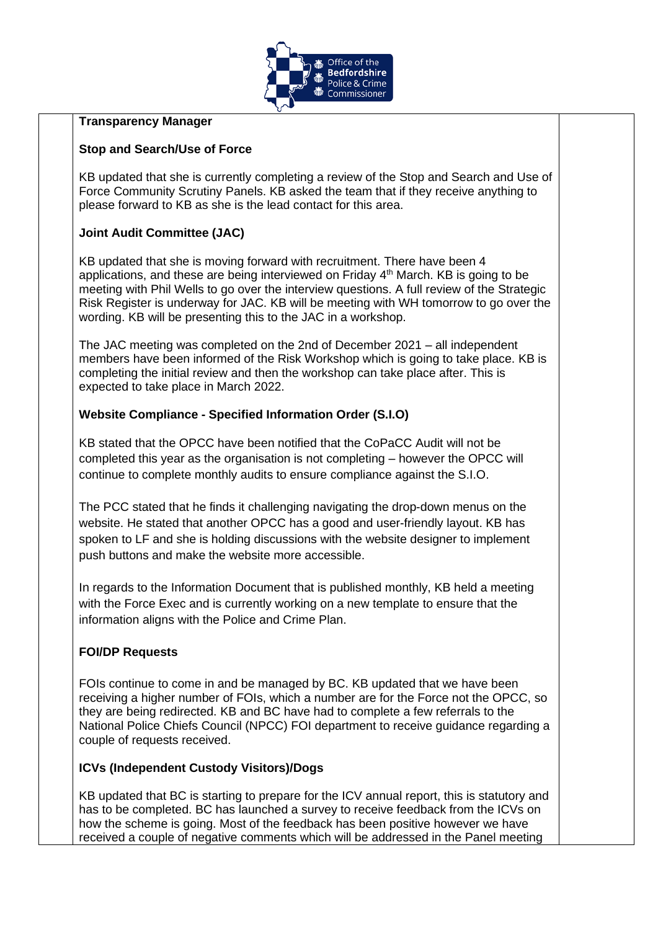

#### **Transparency Manager**

## **Stop and Search/Use of Force**

KB updated that she is currently completing a review of the Stop and Search and Use of Force Community Scrutiny Panels. KB asked the team that if they receive anything to please forward to KB as she is the lead contact for this area.

## **Joint Audit Committee (JAC)**

KB updated that she is moving forward with recruitment. There have been 4 applications, and these are being interviewed on Friday 4<sup>th</sup> March. KB is going to be meeting with Phil Wells to go over the interview questions. A full review of the Strategic Risk Register is underway for JAC. KB will be meeting with WH tomorrow to go over the wording. KB will be presenting this to the JAC in a workshop.

The JAC meeting was completed on the 2nd of December 2021 – all independent members have been informed of the Risk Workshop which is going to take place. KB is completing the initial review and then the workshop can take place after. This is expected to take place in March 2022.

## **Website Compliance - Specified Information Order (S.I.O)**

KB stated that the OPCC have been notified that the CoPaCC Audit will not be completed this year as the organisation is not completing – however the OPCC will continue to complete monthly audits to ensure compliance against the S.I.O.

The PCC stated that he finds it challenging navigating the drop-down menus on the website. He stated that another OPCC has a good and user-friendly layout. KB has spoken to LF and she is holding discussions with the website designer to implement push buttons and make the website more accessible.

In regards to the Information Document that is published monthly, KB held a meeting with the Force Exec and is currently working on a new template to ensure that the information aligns with the Police and Crime Plan.

# **FOI/DP Requests**

FOIs continue to come in and be managed by BC. KB updated that we have been receiving a higher number of FOIs, which a number are for the Force not the OPCC, so they are being redirected. KB and BC have had to complete a few referrals to the National Police Chiefs Council (NPCC) FOI department to receive guidance regarding a couple of requests received.

## **ICVs (Independent Custody Visitors)/Dogs**

KB updated that BC is starting to prepare for the ICV annual report, this is statutory and has to be completed. BC has launched a survey to receive feedback from the ICVs on how the scheme is going. Most of the feedback has been positive however we have received a couple of negative comments which will be addressed in the Panel meeting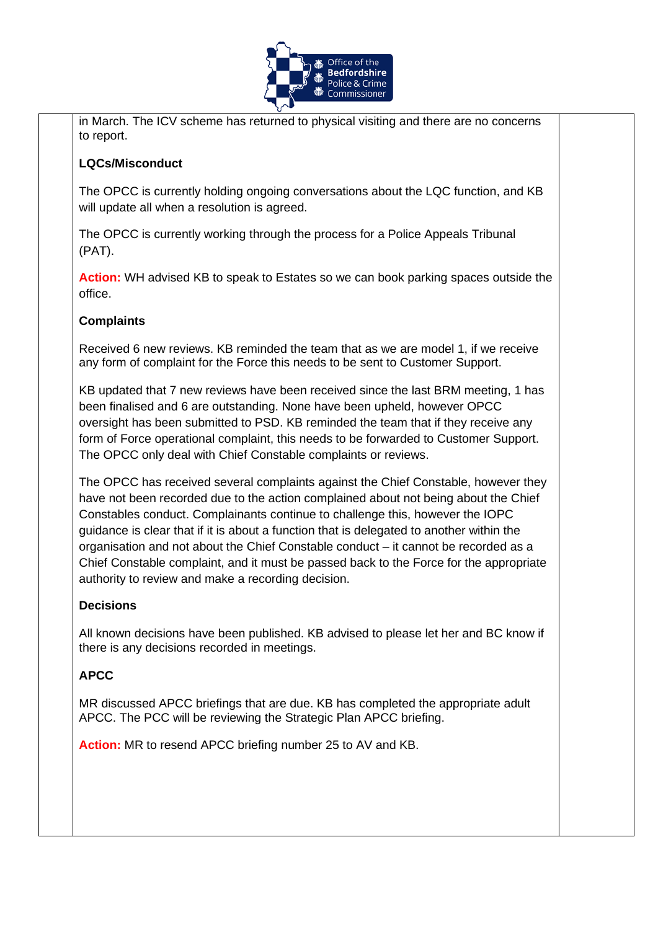

in March. The ICV scheme has returned to physical visiting and there are no concerns to report.

# **LQCs/Misconduct**

The OPCC is currently holding ongoing conversations about the LQC function, and KB will update all when a resolution is agreed.

The OPCC is currently working through the process for a Police Appeals Tribunal (PAT).

**Action:** WH advised KB to speak to Estates so we can book parking spaces outside the office.

# **Complaints**

Received 6 new reviews. KB reminded the team that as we are model 1, if we receive any form of complaint for the Force this needs to be sent to Customer Support.

KB updated that 7 new reviews have been received since the last BRM meeting, 1 has been finalised and 6 are outstanding. None have been upheld, however OPCC oversight has been submitted to PSD. KB reminded the team that if they receive any form of Force operational complaint, this needs to be forwarded to Customer Support. The OPCC only deal with Chief Constable complaints or reviews.

The OPCC has received several complaints against the Chief Constable, however they have not been recorded due to the action complained about not being about the Chief Constables conduct. Complainants continue to challenge this, however the IOPC guidance is clear that if it is about a function that is delegated to another within the organisation and not about the Chief Constable conduct – it cannot be recorded as a Chief Constable complaint, and it must be passed back to the Force for the appropriate authority to review and make a recording decision.

## **Decisions**

All known decisions have been published. KB advised to please let her and BC know if there is any decisions recorded in meetings.

## **APCC**

MR discussed APCC briefings that are due. KB has completed the appropriate adult APCC. The PCC will be reviewing the Strategic Plan APCC briefing.

**Action:** MR to resend APCC briefing number 25 to AV and KB.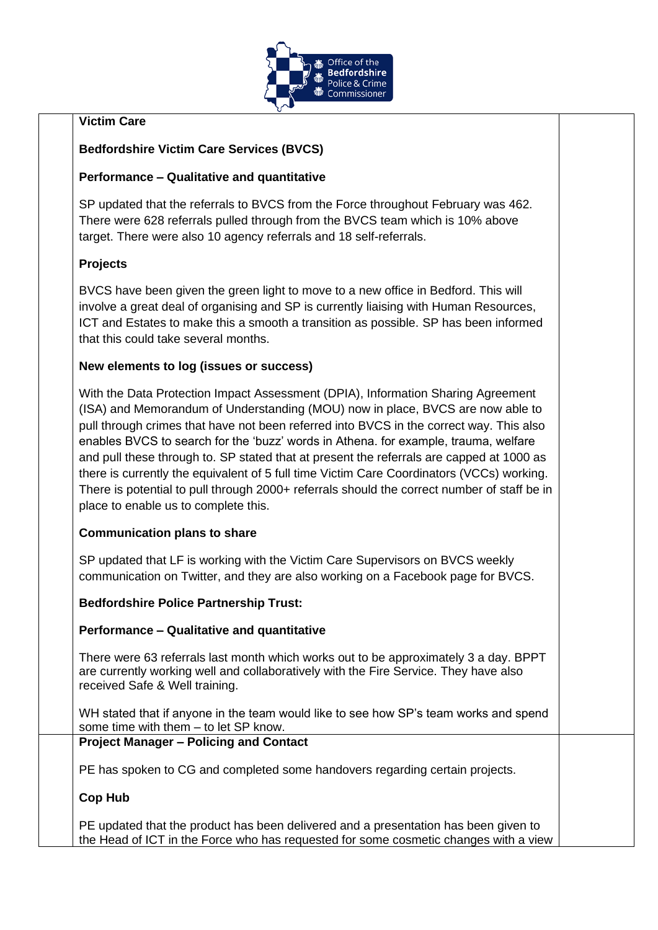

# **Victim Care**

# **Bedfordshire Victim Care Services (BVCS)**

## **Performance – Qualitative and quantitative**

SP updated that the referrals to BVCS from the Force throughout February was 462. There were 628 referrals pulled through from the BVCS team which is 10% above target. There were also 10 agency referrals and 18 self-referrals.

# **Projects**

BVCS have been given the green light to move to a new office in Bedford. This will involve a great deal of organising and SP is currently liaising with Human Resources, ICT and Estates to make this a smooth a transition as possible. SP has been informed that this could take several months.

## **New elements to log (issues or success)**

With the Data Protection Impact Assessment (DPIA), Information Sharing Agreement (ISA) and Memorandum of Understanding (MOU) now in place, BVCS are now able to pull through crimes that have not been referred into BVCS in the correct way. This also enables BVCS to search for the 'buzz' words in Athena. for example, trauma, welfare and pull these through to. SP stated that at present the referrals are capped at 1000 as there is currently the equivalent of 5 full time Victim Care Coordinators (VCCs) working. There is potential to pull through 2000+ referrals should the correct number of staff be in place to enable us to complete this.

## **Communication plans to share**

SP updated that LF is working with the Victim Care Supervisors on BVCS weekly communication on Twitter, and they are also working on a Facebook page for BVCS.

## **Bedfordshire Police Partnership Trust:**

#### **Performance – Qualitative and quantitative**

There were 63 referrals last month which works out to be approximately 3 a day. BPPT are currently working well and collaboratively with the Fire Service. They have also received Safe & Well training.

WH stated that if anyone in the team would like to see how SP's team works and spend some time with them – to let SP know.

#### **Project Manager – Policing and Contact**

PE has spoken to CG and completed some handovers regarding certain projects.

**Cop Hub** 

PE updated that the product has been delivered and a presentation has been given to the Head of ICT in the Force who has requested for some cosmetic changes with a view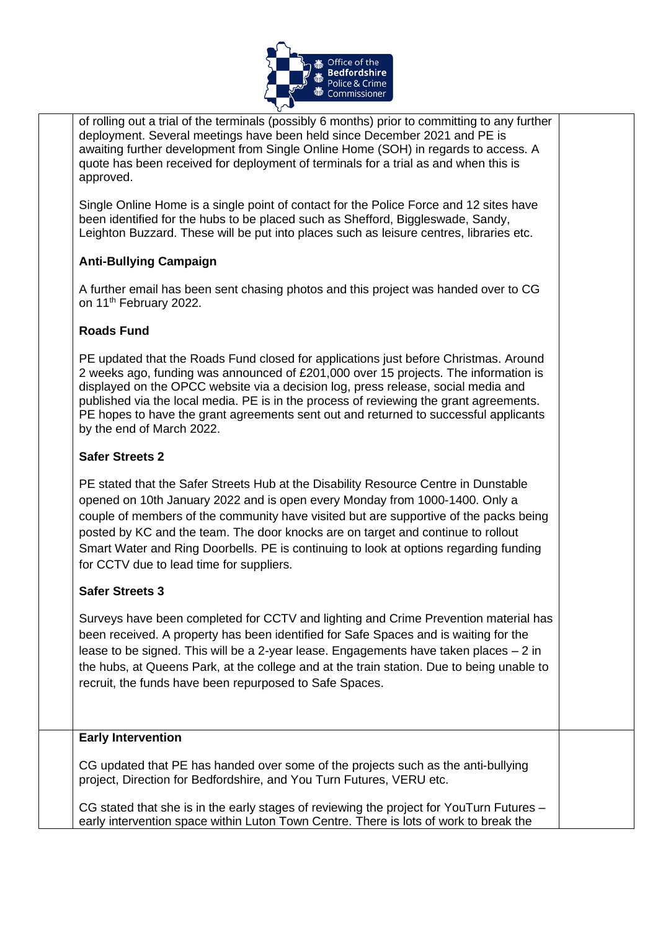

of rolling out a trial of the terminals (possibly 6 months) prior to committing to any further deployment. Several meetings have been held since December 2021 and PE is awaiting further development from Single Online Home (SOH) in regards to access. A quote has been received for deployment of terminals for a trial as and when this is approved.

Single Online Home is a single point of contact for the Police Force and 12 sites have been identified for the hubs to be placed such as Shefford, Biggleswade, Sandy, Leighton Buzzard. These will be put into places such as leisure centres, libraries etc.

## **Anti-Bullying Campaign**

A further email has been sent chasing photos and this project was handed over to CG on 11<sup>th</sup> February 2022.

## **Roads Fund**

PE updated that the Roads Fund closed for applications just before Christmas. Around 2 weeks ago, funding was announced of £201,000 over 15 projects. The information is displayed on the OPCC website via a decision log, press release, social media and published via the local media. PE is in the process of reviewing the grant agreements. PE hopes to have the grant agreements sent out and returned to successful applicants by the end of March 2022.

## **Safer Streets 2**

PE stated that the Safer Streets Hub at the Disability Resource Centre in Dunstable opened on 10th January 2022 and is open every Monday from 1000-1400. Only a couple of members of the community have visited but are supportive of the packs being posted by KC and the team. The door knocks are on target and continue to rollout Smart Water and Ring Doorbells. PE is continuing to look at options regarding funding for CCTV due to lead time for suppliers.

## **Safer Streets 3**

Surveys have been completed for CCTV and lighting and Crime Prevention material has been received. A property has been identified for Safe Spaces and is waiting for the lease to be signed. This will be a 2-year lease. Engagements have taken places  $-2$  in the hubs, at Queens Park, at the college and at the train station. Due to being unable to recruit, the funds have been repurposed to Safe Spaces.

## **Early Intervention**

CG updated that PE has handed over some of the projects such as the anti-bullying project, Direction for Bedfordshire, and You Turn Futures, VERU etc.

CG stated that she is in the early stages of reviewing the project for YouTurn Futures – early intervention space within Luton Town Centre. There is lots of work to break the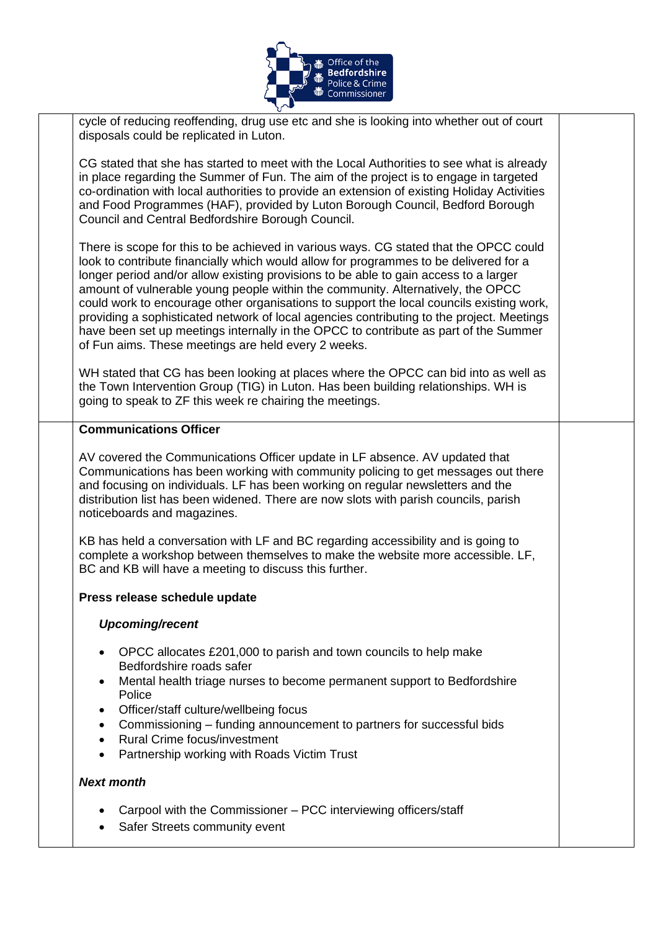

cycle of reducing reoffending, drug use etc and she is looking into whether out of court disposals could be replicated in Luton.

CG stated that she has started to meet with the Local Authorities to see what is already in place regarding the Summer of Fun. The aim of the project is to engage in targeted co-ordination with local authorities to provide an extension of existing Holiday Activities and Food Programmes (HAF), provided by Luton Borough Council, Bedford Borough Council and Central Bedfordshire Borough Council.

There is scope for this to be achieved in various ways. CG stated that the OPCC could look to contribute financially which would allow for programmes to be delivered for a longer period and/or allow existing provisions to be able to gain access to a larger amount of vulnerable young people within the community. Alternatively, the OPCC could work to encourage other organisations to support the local councils existing work, providing a sophisticated network of local agencies contributing to the project. Meetings have been set up meetings internally in the OPCC to contribute as part of the Summer of Fun aims. These meetings are held every 2 weeks.

WH stated that CG has been looking at places where the OPCC can bid into as well as the Town Intervention Group (TIG) in Luton. Has been building relationships. WH is going to speak to ZF this week re chairing the meetings.

#### **Communications Officer**

AV covered the Communications Officer update in LF absence. AV updated that Communications has been working with community policing to get messages out there and focusing on individuals. LF has been working on regular newsletters and the distribution list has been widened. There are now slots with parish councils, parish noticeboards and magazines.

KB has held a conversation with LF and BC regarding accessibility and is going to complete a workshop between themselves to make the website more accessible. LF, BC and KB will have a meeting to discuss this further.

#### **Press release schedule update**

#### *Upcoming/recent*

- OPCC allocates £201,000 to parish and town councils to help make Bedfordshire roads safer
- Mental health triage nurses to become permanent support to Bedfordshire Police
- Officer/staff culture/wellbeing focus
- Commissioning funding announcement to partners for successful bids
- Rural Crime focus/investment
- Partnership working with Roads Victim Trust

#### *Next month*

- Carpool with the Commissioner PCC interviewing officers/staff
- Safer Streets community event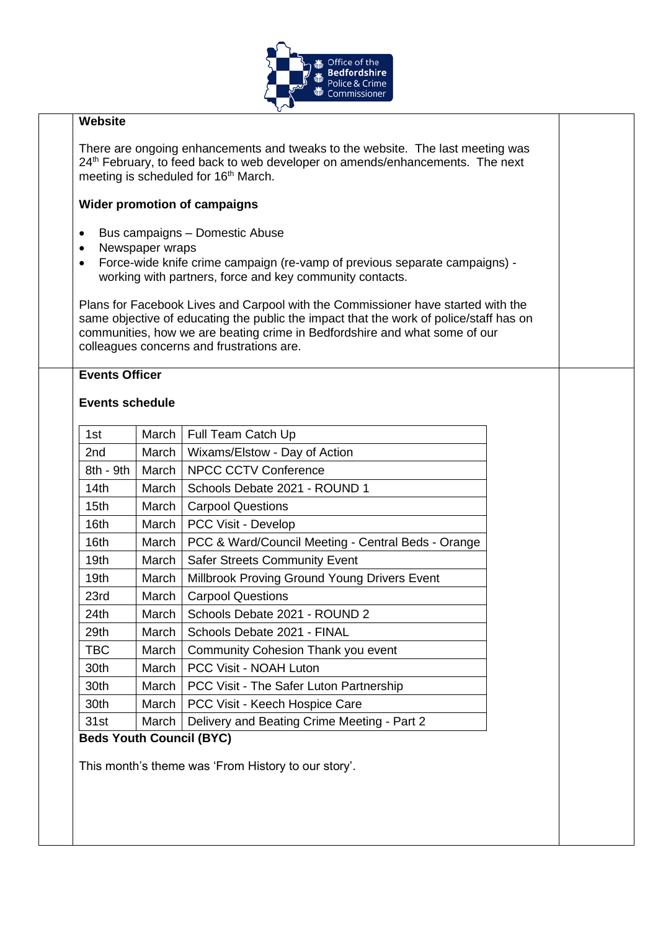

#### **Website**

There are ongoing enhancements and tweaks to the website. The last meeting was 24<sup>th</sup> February, to feed back to web developer on amends/enhancements. The next meeting is scheduled for 16<sup>th</sup> March.

#### **Wider promotion of campaigns**

- Bus campaigns Domestic Abuse
- Newspaper wraps
- Force-wide knife crime campaign (re-vamp of previous separate campaigns) working with partners, force and key community contacts.

Plans for Facebook Lives and Carpool with the Commissioner have started with the same objective of educating the public the impact that the work of police/staff has on communities, how we are beating crime in Bedfordshire and what some of our colleagues concerns and frustrations are.

## **Events Officer**

#### **Events schedule**

| 1st                      | March | Full Team Catch Up                                 |  |  |  |
|--------------------------|-------|----------------------------------------------------|--|--|--|
| 2 <sub>nd</sub>          | March | Wixams/Elstow - Day of Action                      |  |  |  |
| 8th - 9th                | March | <b>NPCC CCTV Conference</b>                        |  |  |  |
| 14th                     | March | Schools Debate 2021 - ROUND 1                      |  |  |  |
| 15 <sub>th</sub>         | March | <b>Carpool Questions</b>                           |  |  |  |
| 16 <sub>th</sub>         | March | PCC Visit - Develop                                |  |  |  |
| 16th                     | March | PCC & Ward/Council Meeting - Central Beds - Orange |  |  |  |
| 19 <sub>th</sub>         | March | <b>Safer Streets Community Event</b>               |  |  |  |
| 19 <sub>th</sub>         | March | Millbrook Proving Ground Young Drivers Event       |  |  |  |
| 23rd                     | March | <b>Carpool Questions</b>                           |  |  |  |
| 24th                     | March | Schools Debate 2021 - ROUND 2                      |  |  |  |
| 29th                     | March | Schools Debate 2021 - FINAL                        |  |  |  |
| <b>TBC</b>               | March | Community Cohesion Thank you event                 |  |  |  |
| 30th                     | March | <b>PCC Visit - NOAH Luton</b>                      |  |  |  |
| 30th                     | March | PCC Visit - The Safer Luton Partnership            |  |  |  |
| 30th                     | March | PCC Visit - Keech Hospice Care                     |  |  |  |
| 31st                     | March | Delivery and Beating Crime Meeting - Part 2        |  |  |  |
| Dade Vauth Caunail (DVC) |       |                                                    |  |  |  |

## **Beds Youth Council (BYC)**

This month's theme was 'From History to our story'.